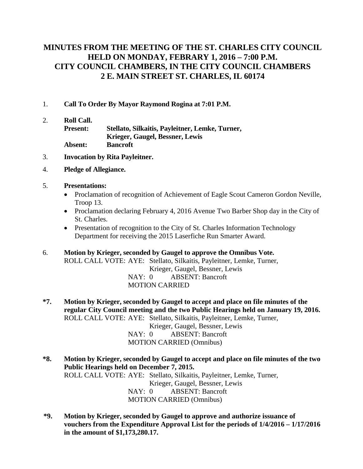## **MINUTES FROM THE MEETING OF THE ST. CHARLES CITY COUNCIL HELD ON MONDAY, FEBRARY 1, 2016 – 7:00 P.M. CITY COUNCIL CHAMBERS, IN THE CITY COUNCIL CHAMBERS 2 E. MAIN STREET ST. CHARLES, IL 60174**

- 1. **Call To Order By Mayor Raymond Rogina at 7:01 P.M.**
- 2. **Roll Call. Present: Stellato, Silkaitis, Payleitner, Lemke, Turner, Krieger, Gaugel, Bessner, Lewis Absent: Bancroft**
- 3. **Invocation by Rita Payleitner.**
- 4. **Pledge of Allegiance.**

#### 5. **Presentations:**

- Proclamation of recognition of Achievement of Eagle Scout Cameron Gordon Neville, Troop 13.
- Proclamation declaring February 4, 2016 Avenue Two Barber Shop day in the City of St. Charles.
- Presentation of recognition to the City of St. Charles Information Technology Department for receiving the 2015 Laserfiche Run Smarter Award.
- 6. **Motion by Krieger, seconded by Gaugel to approve the Omnibus Vote.** ROLL CALL VOTE: AYE: Stellato, Silkaitis, Payleitner, Lemke, Turner, Krieger, Gaugel, Bessner, Lewis NAY: 0 ABSENT: Bancroft MOTION CARRIED
- **\*7. Motion by Krieger, seconded by Gaugel to accept and place on file minutes of the regular City Council meeting and the two Public Hearings held on January 19, 2016.** ROLL CALL VOTE: AYE: Stellato, Silkaitis, Payleitner, Lemke, Turner, Krieger, Gaugel, Bessner, Lewis NAY: 0 ABSENT: Bancroft MOTION CARRIED (Omnibus)
- **\*8. Motion by Krieger, seconded by Gaugel to accept and place on file minutes of the two Public Hearings held on December 7, 2015.** ROLL CALL VOTE: AYE: Stellato, Silkaitis, Payleitner, Lemke, Turner, Krieger, Gaugel, Bessner, Lewis NAY: 0 ABSENT: Bancroft MOTION CARRIED (Omnibus)
- **\*9. Motion by Krieger, seconded by Gaugel to approve and authorize issuance of vouchers from the Expenditure Approval List for the periods of 1/4/2016 – 1/17/2016 in the amount of \$1,173,280.17.**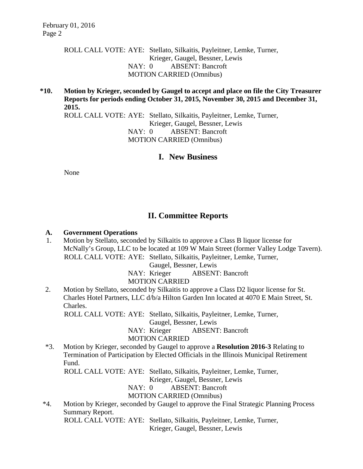ROLL CALL VOTE: AYE: Stellato, Silkaitis, Payleitner, Lemke, Turner, Krieger, Gaugel, Bessner, Lewis NAY: 0 ABSENT: Bancroft MOTION CARRIED (Omnibus)

**\*10. Motion by Krieger, seconded by Gaugel to accept and place on file the City Treasurer Reports for periods ending October 31, 2015, November 30, 2015 and December 31, 2015.** 

ROLL CALL VOTE: AYE: Stellato, Silkaitis, Payleitner, Lemke, Turner, Krieger, Gaugel, Bessner, Lewis NAY: 0 ABSENT: Bancroft MOTION CARRIED (Omnibus)

**I. New Business**

None

# **II. Committee Reports**

### **A. Government Operations**

 1. Motion by Stellato, seconded by Silkaitis to approve a Class B liquor license for McNally's Group, LLC to be located at 109 W Main Street (former Valley Lodge Tavern). ROLL CALL VOTE: AYE: Stellato, Silkaitis, Payleitner, Lemke, Turner,

Gaugel, Bessner, Lewis

NAY: Krieger ABSENT: Bancroft

### MOTION CARRIED

2. Motion by Stellato, seconded by Silkaitis to approve a Class D2 liquor license for St. Charles Hotel Partners, LLC d/b/a Hilton Garden Inn located at 4070 E Main Street, St. Charles.

ROLL CALL VOTE: AYE: Stellato, Silkaitis, Payleitner, Lemke, Turner,

Gaugel, Bessner, Lewis

NAY: Krieger ABSENT: Bancroft

### MOTION CARRIED

\*3. Motion by Krieger, seconded by Gaugel to approve a **Resolution 2016-3** Relating to Termination of Participation by Elected Officials in the Illinois Municipal Retirement Fund.

ROLL CALL VOTE: AYE: Stellato, Silkaitis, Payleitner, Lemke, Turner,

Krieger, Gaugel, Bessner, Lewis

NAY: 0 ABSENT: Bancroft

### MOTION CARRIED (Omnibus)

\*4. Motion by Krieger, seconded by Gaugel to approve the Final Strategic Planning Process Summary Report.

ROLL CALL VOTE: AYE: Stellato, Silkaitis, Payleitner, Lemke, Turner,

Krieger, Gaugel, Bessner, Lewis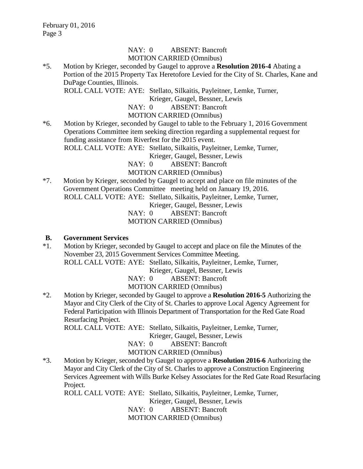#### NAY: 0 ABSENT: Bancroft MOTION CARRIED (Omnibus)

\*5. Motion by Krieger, seconded by Gaugel to approve a **Resolution 2016-4** Abating a Portion of the 2015 Property Tax Heretofore Levied for the City of St. Charles, Kane and DuPage Counties, Illinois.

ROLL CALL VOTE: AYE: Stellato, Silkaitis, Payleitner, Lemke, Turner,

Krieger, Gaugel, Bessner, Lewis

NAY: 0 ABSENT: Bancroft

### MOTION CARRIED (Omnibus)

\*6. Motion by Krieger, seconded by Gaugel to table to the February 1, 2016 Government Operations Committee item seeking direction regarding a supplemental request for funding assistance from Riverfest for the 2015 event.

ROLL CALL VOTE: AYE: Stellato, Silkaitis, Payleitner, Lemke, Turner,

Krieger, Gaugel, Bessner, Lewis

NAY: 0 ABSENT: Bancroft

MOTION CARRIED (Omnibus)

\*7. Motion by Krieger, seconded by Gaugel to accept and place on file minutes of the Government Operations Committee meeting held on January 19, 2016. ROLL CALL VOTE: AYE: Stellato, Silkaitis, Payleitner, Lemke, Turner,

Krieger, Gaugel, Bessner, Lewis

NAY: 0 ABSENT: Bancroft

MOTION CARRIED (Omnibus)

### **B. Government Services**

\*1. Motion by Krieger, seconded by Gaugel to accept and place on file the Minutes of the November 23, 2015 Government Services Committee Meeting.

ROLL CALL VOTE: AYE: Stellato, Silkaitis, Payleitner, Lemke, Turner,

Krieger, Gaugel, Bessner, Lewis

NAY: 0 ABSENT: Bancroft

MOTION CARRIED (Omnibus)

\*2. Motion by Krieger, seconded by Gaugel to approve a **Resolution 2016-5** Authorizing the Mayor and City Clerk of the City of St. Charles to approve Local Agency Agreement for Federal Participation with Illinois Department of Transportation for the Red Gate Road Resurfacing Project.

ROLL CALL VOTE: AYE: Stellato, Silkaitis, Payleitner, Lemke, Turner,

Krieger, Gaugel, Bessner, Lewis

NAY: 0 ABSENT: Bancroft

### MOTION CARRIED (Omnibus)

\*3. Motion by Krieger, seconded by Gaugel to approve a **Resolution 2016-6** Authorizing the Mayor and City Clerk of the City of St. Charles to approve a Construction Engineering Services Agreement with Wills Burke Kelsey Associates for the Red Gate Road Resurfacing Project.

ROLL CALL VOTE: AYE: Stellato, Silkaitis, Payleitner, Lemke, Turner,

Krieger, Gaugel, Bessner, Lewis

NAY: 0 ABSENT: Bancroft

MOTION CARRIED (Omnibus)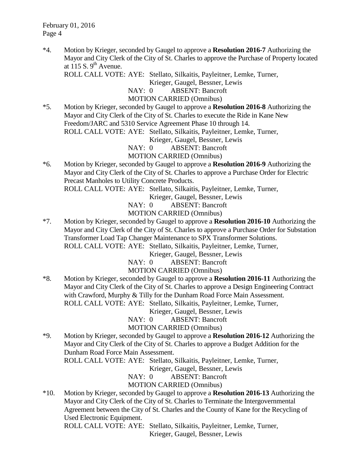\*4. Motion by Krieger, seconded by Gaugel to approve a **Resolution 2016-7** Authorizing the Mayor and City Clerk of the City of St. Charles to approve the Purchase of Property located at  $115 S$ . 9<sup>th</sup> Avenue.

ROLL CALL VOTE: AYE: Stellato, Silkaitis, Payleitner, Lemke, Turner,

Krieger, Gaugel, Bessner, Lewis

NAY: 0 ABSENT: Bancroft

MOTION CARRIED (Omnibus)

\*5. Motion by Krieger, seconded by Gaugel to approve a **Resolution 2016-8** Authorizing the Mayor and City Clerk of the City of St. Charles to execute the Ride in Kane New Freedom/JARC and 5310 Service Agreement Phase 10 through 14. ROLL CALL VOTE: AYE: Stellato, Silkaitis, Payleitner, Lemke, Turner,

Krieger, Gaugel, Bessner, Lewis

NAY: 0 ABSENT: Bancroft

MOTION CARRIED (Omnibus)

\*6. Motion by Krieger, seconded by Gaugel to approve a **Resolution 2016-9** Authorizing the Mayor and City Clerk of the City of St. Charles to approve a Purchase Order for Electric Precast Manholes to Utility Concrete Products.

ROLL CALL VOTE: AYE: Stellato, Silkaitis, Payleitner, Lemke, Turner,

Krieger, Gaugel, Bessner, Lewis

NAY: 0 ABSENT: Bancroft

MOTION CARRIED (Omnibus)

\*7. Motion by Krieger, seconded by Gaugel to approve a **Resolution 2016-10** Authorizing the Mayor and City Clerk of the City of St. Charles to approve a Purchase Order for Substation Transformer Load Tap Changer Maintenance to SPX Transformer Solutions. ROLL CALL VOTE: AYE: Stellato, Silkaitis, Payleitner, Lemke, Turner,

Krieger, Gaugel, Bessner, Lewis

NAY: 0 ABSENT: Bancroft

### MOTION CARRIED (Omnibus)

\*8. Motion by Krieger, seconded by Gaugel to approve a **Resolution 2016-11** Authorizing the Mayor and City Clerk of the City of St. Charles to approve a Design Engineering Contract with Crawford, Murphy & Tilly for the Dunham Road Force Main Assessment. ROLL CALL VOTE: AYE: Stellato, Silkaitis, Payleitner, Lemke, Turner,

Krieger, Gaugel, Bessner, Lewis

NAY: 0 ABSENT: Bancroft

MOTION CARRIED (Omnibus)

\*9. Motion by Krieger, seconded by Gaugel to approve a **Resolution 2016-12** Authorizing the Mayor and City Clerk of the City of St. Charles to approve a Budget Addition for the Dunham Road Force Main Assessment.

ROLL CALL VOTE: AYE: Stellato, Silkaitis, Payleitner, Lemke, Turner,

Krieger, Gaugel, Bessner, Lewis

NAY: 0 ABSENT: Bancroft

MOTION CARRIED (Omnibus)

\*10. Motion by Krieger, seconded by Gaugel to approve a **Resolution 2016-13** Authorizing the Mayor and City Clerk of the City of St. Charles to Terminate the Intergovernmental Agreement between the City of St. Charles and the County of Kane for the Recycling of Used Electronic Equipment.

ROLL CALL VOTE: AYE: Stellato, Silkaitis, Payleitner, Lemke, Turner, Krieger, Gaugel, Bessner, Lewis